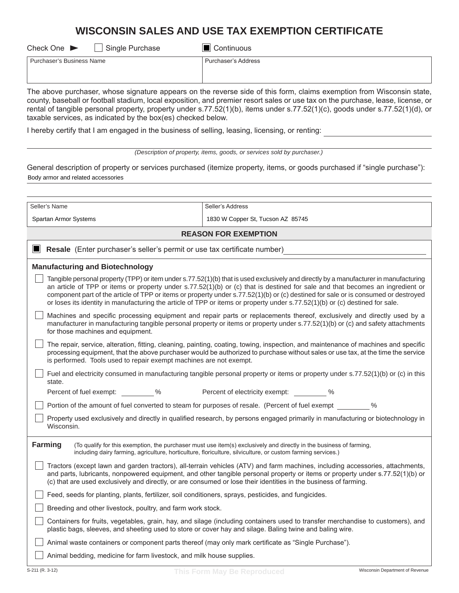## **WISCONSIN SALES AND USE TAX EXEMPTION CERTIFICATE**

| Single Purchase<br>Check One $\blacktriangleright$ | Continuous                                                                                                              |
|----------------------------------------------------|-------------------------------------------------------------------------------------------------------------------------|
| Purchaser's Business Name                          | Purchaser's Address                                                                                                     |
|                                                    | The choice accelerate chiracterization radicate in the access of the fills from cloture community from WR residents and |

The above purchaser, whose signature appears on the reverse side of this form, claims exemption from Wisconsin state, county, baseball or football stadium, local exposition, and premier resort sales or use tax on the purchase, lease, license, or rental of tangible personal property, property under s.77.52(1)(b), items under s.77.52(1)(c), goods under s.77.52(1)(d), or taxable services, as indicated by the box(es) checked below.

I hereby certify that I am engaged in the business of selling, leasing, licensing, or renting:

| (Description of property, items, goods, or services sold by purchaser.) |  |  |
|-------------------------------------------------------------------------|--|--|
|                                                                         |  |  |

General description of property or services purchased (itemize property, items, or goods purchased if "single purchase"): Body armor and related accessories

| Seller's Name                                                                                                                                                                                                                                                                                                                                                                                                                                                                                                                                | Seller's Address                                                                                                                                                                                                                                                                                                                                                                   |  |  |  |
|----------------------------------------------------------------------------------------------------------------------------------------------------------------------------------------------------------------------------------------------------------------------------------------------------------------------------------------------------------------------------------------------------------------------------------------------------------------------------------------------------------------------------------------------|------------------------------------------------------------------------------------------------------------------------------------------------------------------------------------------------------------------------------------------------------------------------------------------------------------------------------------------------------------------------------------|--|--|--|
| Spartan Armor Systems                                                                                                                                                                                                                                                                                                                                                                                                                                                                                                                        | 1830 W Copper St, Tucson AZ 85745                                                                                                                                                                                                                                                                                                                                                  |  |  |  |
| <b>REASON FOR EXEMPTION</b>                                                                                                                                                                                                                                                                                                                                                                                                                                                                                                                  |                                                                                                                                                                                                                                                                                                                                                                                    |  |  |  |
| Resale (Enter purchaser's seller's permit or use tax certificate number)<br>LШ                                                                                                                                                                                                                                                                                                                                                                                                                                                               |                                                                                                                                                                                                                                                                                                                                                                                    |  |  |  |
| <b>Manufacturing and Biotechnology</b>                                                                                                                                                                                                                                                                                                                                                                                                                                                                                                       |                                                                                                                                                                                                                                                                                                                                                                                    |  |  |  |
| Tangible personal property (TPP) or item under s.77.52(1)(b) that is used exclusively and directly by a manufacturer in manufacturing<br>an article of TPP or items or property under s.77.52(1)(b) or (c) that is destined for sale and that becomes an ingredient or<br>component part of the article of TPP or items or property under s.77.52(1)(b) or (c) destined for sale or is consumed or destroyed<br>or loses its identity in manufacturing the article of TPP or items or property under s.77.52(1)(b) or (c) destined for sale. |                                                                                                                                                                                                                                                                                                                                                                                    |  |  |  |
| for those machines and equipment.                                                                                                                                                                                                                                                                                                                                                                                                                                                                                                            | Machines and specific processing equipment and repair parts or replacements thereof, exclusively and directly used by a<br>manufacturer in manufacturing tangible personal property or items or property under s.77.52(1)(b) or (c) and safety attachments                                                                                                                         |  |  |  |
| The repair, service, alteration, fitting, cleaning, painting, coating, towing, inspection, and maintenance of machines and specific<br>processing equipment, that the above purchaser would be authorized to purchase without sales or use tax, at the time the service<br>is performed. Tools used to repair exempt machines are not exempt.                                                                                                                                                                                                |                                                                                                                                                                                                                                                                                                                                                                                    |  |  |  |
| state.                                                                                                                                                                                                                                                                                                                                                                                                                                                                                                                                       | Fuel and electricity consumed in manufacturing tangible personal property or items or property under s.77.52(1)(b) or (c) in this                                                                                                                                                                                                                                                  |  |  |  |
| Percent of fuel exempt: 46                                                                                                                                                                                                                                                                                                                                                                                                                                                                                                                   | Percent of electricity exempt: %                                                                                                                                                                                                                                                                                                                                                   |  |  |  |
|                                                                                                                                                                                                                                                                                                                                                                                                                                                                                                                                              | Portion of the amount of fuel converted to steam for purposes of resale. (Percent of fuel exempt<br>$\%$                                                                                                                                                                                                                                                                           |  |  |  |
| Property used exclusively and directly in qualified research, by persons engaged primarily in manufacturing or biotechnology in<br>Wisconsin.                                                                                                                                                                                                                                                                                                                                                                                                |                                                                                                                                                                                                                                                                                                                                                                                    |  |  |  |
| <b>Farming</b>                                                                                                                                                                                                                                                                                                                                                                                                                                                                                                                               | (To qualify for this exemption, the purchaser must use item(s) exclusively and directly in the business of farming,<br>including dairy farming, agriculture, horticulture, floriculture, silviculture, or custom farming services.)                                                                                                                                                |  |  |  |
|                                                                                                                                                                                                                                                                                                                                                                                                                                                                                                                                              | Tractors (except lawn and garden tractors), all-terrain vehicles (ATV) and farm machines, including accessories, attachments,<br>and parts, lubricants, nonpowered equipment, and other tangible personal property or items or property under s.77.52(1)(b) or<br>(c) that are used exclusively and directly, or are consumed or lose their identities in the business of farming. |  |  |  |
| Feed, seeds for planting, plants, fertilizer, soil conditioners, sprays, pesticides, and fungicides.                                                                                                                                                                                                                                                                                                                                                                                                                                         |                                                                                                                                                                                                                                                                                                                                                                                    |  |  |  |
| Breeding and other livestock, poultry, and farm work stock.                                                                                                                                                                                                                                                                                                                                                                                                                                                                                  |                                                                                                                                                                                                                                                                                                                                                                                    |  |  |  |
| Containers for fruits, vegetables, grain, hay, and silage (including containers used to transfer merchandise to customers), and<br>plastic bags, sleeves, and sheeting used to store or cover hay and silage. Baling twine and baling wire.                                                                                                                                                                                                                                                                                                  |                                                                                                                                                                                                                                                                                                                                                                                    |  |  |  |
| Animal waste containers or component parts thereof (may only mark certificate as "Single Purchase").                                                                                                                                                                                                                                                                                                                                                                                                                                         |                                                                                                                                                                                                                                                                                                                                                                                    |  |  |  |
| Animal bedding, medicine for farm livestock, and milk house supplies.                                                                                                                                                                                                                                                                                                                                                                                                                                                                        |                                                                                                                                                                                                                                                                                                                                                                                    |  |  |  |